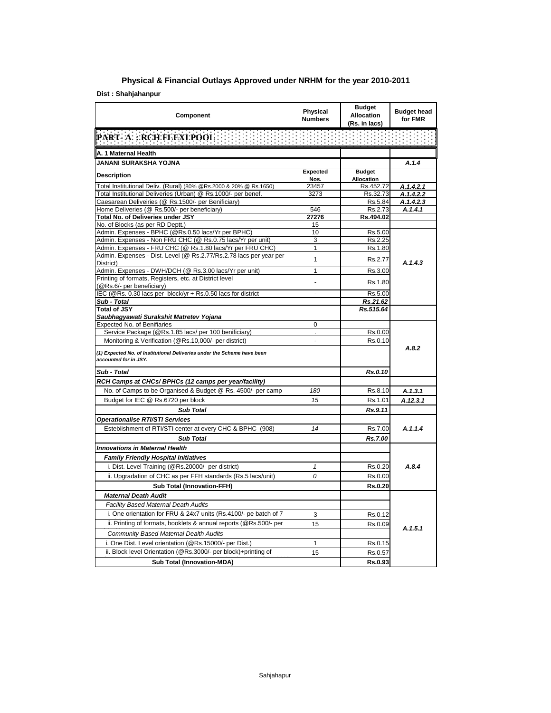## **Physical & Financial Outlays Approved under NRHM for the year 2010-2011**

## **Dist : Shahjahanpur**

| Component                                                                                                            | Physical<br><b>Numbers</b> | <b>Budget</b><br><b>Allocation</b><br>(Rs. in lacs) | <b>Budget head</b><br>for FMR |
|----------------------------------------------------------------------------------------------------------------------|----------------------------|-----------------------------------------------------|-------------------------------|
| PART- A : RCH FLEXI POOL                                                                                             |                            |                                                     |                               |
| A. 1 Maternal Health                                                                                                 |                            |                                                     |                               |
| JANANI SURAKSHA YOJNA                                                                                                |                            |                                                     | A.1.4                         |
| <b>Description</b>                                                                                                   | <b>Expected</b>            | <b>Budget</b>                                       |                               |
|                                                                                                                      | Nos.                       | Allocation                                          |                               |
| Total Institutional Deliv. (Rural) (80% @Rs.2000 & 20% @ Rs.1650)                                                    | 23457                      | Rs.452.72                                           | A.1.4.2.1                     |
| Total Institutional Deliveries (Urban) @ Rs.1000/- per benef.<br>Caesarean Deliveiries (@ Rs.1500/- per Benificiary) | 3273                       | Rs.32.73<br>Rs.5.84                                 | A.1.4.2.2<br>A.1.4.2.3        |
| Home Deliveries (@ Rs.500/- per beneficiary)                                                                         | 546                        | Rs.2.73                                             | A.1.4.1                       |
| Total No. of Deliveries under JSY                                                                                    | 27276                      | Rs.494.02                                           |                               |
| No. of Blocks (as per RD Deptt.)                                                                                     | 15                         |                                                     |                               |
| Admin. Expenses - BPHC (@Rs.0.50 lacs/Yr per BPHC)                                                                   | 10                         | Rs.5.00                                             |                               |
| Admin. Expenses - Non FRU CHC (@ Rs.0.75 lacs/Yr per unit)                                                           | 3                          | Rs.2.25                                             |                               |
| Admin. Expenses - FRU CHC (@ Rs.1.80 lacs/Yr per FRU CHC)                                                            | 1                          | Rs.1.80                                             |                               |
| Admin. Expenses - Dist. Level (@ Rs.2.77/Rs.2.78 lacs per year per                                                   | 1                          | Rs.2.77                                             |                               |
| District)                                                                                                            |                            |                                                     | A.1.4.3                       |
| Admin. Expenses - DWH/DCH (@ Rs.3.00 lacs/Yr per unit)<br>Printing of formats, Registers, etc. at District level     | 1                          | Rs.3.00                                             |                               |
| (@Rs.6/- per beneficiary)                                                                                            | ä,                         | Rs.1.80                                             |                               |
| IEC (@Rs. 0.30 lacs per block/yr + Rs.0.50 lacs for district                                                         | $\overline{a}$             | Rs.5.00                                             |                               |
| Sub - Total                                                                                                          |                            | Rs.21.62                                            |                               |
| <b>Total of JSY</b>                                                                                                  |                            | Rs.515.64                                           |                               |
| Saubhagyawati Surakshit Matretev Yojana                                                                              |                            |                                                     |                               |
| Expected No. of Benifiaries                                                                                          | 0                          |                                                     |                               |
| Service Package (@Rs.1.85 lacs/ per 100 benificiary)                                                                 |                            | Rs.0.00                                             |                               |
| Monitoring & Verification (@Rs.10,000/- per district)                                                                | $\blacksquare$             | Rs.0.10                                             | A.8.2                         |
| (1) Expected No. of Institutional Deliveries under the Scheme have been<br>accounted for in JSY.                     |                            |                                                     |                               |
| Sub - Total                                                                                                          |                            | Rs.0.10                                             |                               |
| RCH Camps at CHCs/ BPHCs (12 camps per year/facility)                                                                |                            |                                                     |                               |
| No. of Camps to be Organised & Budget @ Rs. 4500/- per camp                                                          | 180                        | Rs.8.10                                             | A.1.3.1                       |
| Budget for IEC @ Rs.6720 per block                                                                                   | 15                         | Rs.1.01                                             | A.12.3.1                      |
| <b>Sub Total</b>                                                                                                     |                            | Rs.9.11                                             |                               |
| <b>Operationalise RTI/STI Services</b>                                                                               |                            |                                                     |                               |
| Esteblishment of RTI/STI center at every CHC & BPHC (908)                                                            | 14                         | Rs.7.00                                             | A.1.1.4                       |
| <b>Sub Total</b>                                                                                                     |                            | Rs.7.00                                             |                               |
| <b>Innovations in Maternal Health</b>                                                                                |                            |                                                     |                               |
| <b>Family Friendly Hospital Initiatives</b>                                                                          |                            |                                                     |                               |
| i. Dist. Level Training (@Rs.20000/- per district)                                                                   | $\mathbf{1}$               | Rs.0.20                                             | A.8.4                         |
|                                                                                                                      | 0                          | Rs.0.00                                             |                               |
| ii. Upgradation of CHC as per FFH standards (Rs.5 lacs/unit)                                                         |                            |                                                     |                               |
| <b>Sub Total (Innovation-FFH)</b>                                                                                    |                            | Rs.0.20                                             |                               |
| <b>Maternal Death Audit</b>                                                                                          |                            |                                                     |                               |
| <b>Facility Based Maternal Death Audits</b>                                                                          |                            |                                                     |                               |
| i. One orientation for FRU & 24x7 units (Rs.4100/- pe batch of 7                                                     | 3                          | Rs.0.12                                             |                               |
| ii. Printing of formats, booklets & annual reports (@Rs.500/- per                                                    | 15                         | Rs.0.09                                             | A.1.5.1                       |
| Community Based Maternal Dealth Audits                                                                               |                            |                                                     |                               |
| i. One Dist. Level orientation (@Rs.15000/- per Dist.)                                                               | 1                          | Rs.0.15                                             |                               |
| ii. Block level Orientation (@Rs.3000/- per block)+printing of                                                       | 15                         | Rs.0.57                                             |                               |
| <b>Sub Total (Innovation-MDA)</b>                                                                                    |                            | Rs.0.93                                             |                               |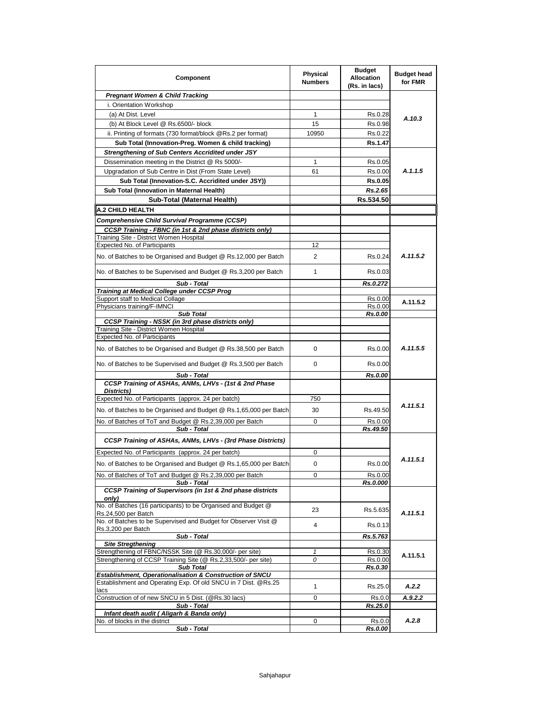| Component                                                                                                                  | <b>Physical</b><br><b>Numbers</b> | <b>Budget</b><br><b>Allocation</b><br>(Rs. in lacs) | <b>Budget head</b><br>for FMR |
|----------------------------------------------------------------------------------------------------------------------------|-----------------------------------|-----------------------------------------------------|-------------------------------|
| <b>Pregnant Women &amp; Child Tracking</b>                                                                                 |                                   |                                                     |                               |
| i. Orientation Workshop                                                                                                    |                                   |                                                     |                               |
| (a) At Dist. Level                                                                                                         | 1                                 | Rs.0.28                                             | A.10.3                        |
| (b) At Block Level @ Rs.6500/- block                                                                                       | 15                                | Rs.0.98                                             |                               |
| ii. Printing of formats (730 format/block @Rs.2 per format)                                                                | 10950                             | Rs.0.22                                             |                               |
| Sub Total (Innovation-Preg. Women & child tracking)                                                                        |                                   | <b>Rs.1.47</b>                                      |                               |
| Strengthening of Sub Centers Accridited under JSY                                                                          |                                   |                                                     |                               |
| Dissemination meeting in the District @ Rs 5000/-<br>Upgradation of Sub Centre in Dist (From State Level)                  | 1<br>61                           | Rs.0.05<br>Rs.0.00                                  | A.1.1.5                       |
| Sub Total (Innovation-S.C. Accridited under JSY))                                                                          |                                   | Rs.0.05                                             |                               |
| Sub Total (Innovation in Maternal Health)                                                                                  |                                   | Rs.2.65                                             |                               |
| Sub-Total (Maternal Health)                                                                                                |                                   | Rs.534.50                                           |                               |
| <b>A.2 CHILD HEALTH</b>                                                                                                    |                                   |                                                     |                               |
| Comprehensive Child Survival Programme (CCSP)                                                                              |                                   |                                                     |                               |
| CCSP Training - FBNC (in 1st & 2nd phase districts only)                                                                   |                                   |                                                     |                               |
| Training Site - District Women Hospital                                                                                    |                                   |                                                     |                               |
| Expected No. of Participants                                                                                               | 12                                |                                                     |                               |
| No. of Batches to be Organised and Budget @ Rs.12,000 per Batch                                                            | 2                                 | Rs.0.24                                             | A.11.5.2                      |
| No. of Batches to be Supervised and Budget @ Rs.3,200 per Batch                                                            | 1                                 | Rs.0.03                                             |                               |
| Sub - Total<br><b>Training at Medical College under CCSP Prog</b>                                                          |                                   | Rs.0.272                                            |                               |
| Support staff to Medical Collage                                                                                           |                                   | Rs.0.00                                             | A.11.5.2                      |
| Physicians training/F-IMNCI                                                                                                |                                   | Rs.0.00                                             |                               |
| <b>Sub Total</b>                                                                                                           |                                   | Rs.0.00                                             |                               |
| <b>CCSP Training - NSSK (in 3rd phase districts only)</b><br>Training Site - District Women Hospital                       |                                   |                                                     |                               |
| <b>Expected No. of Participants</b>                                                                                        |                                   |                                                     |                               |
| No. of Batches to be Organised and Budget @ Rs.38,500 per Batch                                                            | 0                                 | Rs.0.00                                             | A.11.5.5                      |
| No. of Batches to be Supervised and Budget @ Rs.3,500 per Batch                                                            | 0                                 | Rs.0.00                                             |                               |
| Sub - Total                                                                                                                |                                   | Rs.0.00                                             |                               |
| CCSP Training of ASHAs, ANMs, LHVs - (1st & 2nd Phase<br>Districts)<br>Expected No. of Participants (approx. 24 per batch) | 750                               |                                                     |                               |
|                                                                                                                            |                                   |                                                     | A.11.5.1                      |
| No. of Batches to be Organised and Budget @ Rs.1,65,000 per Batch                                                          | 30                                | Rs.49.50                                            |                               |
| No. of Batches of ToT and Budget @ Rs.2,39,000 per Batch<br>Sub - Total                                                    | 0                                 | Rs.0.00<br>Rs.49.50                                 |                               |
| CCSP Training of ASHAs, ANMs, LHVs - (3rd Phase Districts)                                                                 |                                   |                                                     |                               |
| Expected No. of Participants (approx. 24 per batch)                                                                        | 0                                 |                                                     |                               |
| No. of Batches to be Organised and Budget @ Rs.1,65,000 per Batch                                                          | 0                                 | Rs.0.00                                             | A.11.5.1                      |
| No. of Batches of ToT and Budget @ Rs.2,39,000 per Batch<br>Sub - Total                                                    | 0                                 | Rs.0.00<br>Rs.0.000                                 |                               |
| CCSP Training of Supervisors (in 1st & 2nd phase districts<br>only)                                                        |                                   |                                                     |                               |
| No. of Batches (16 participants) to be Organised and Budget @<br>Rs.24,500 per Batch                                       | 23                                | Rs.5.635                                            | A.11.5.1                      |
| No. of Batches to be Supervised and Budget for Observer Visit @<br>Rs.3,200 per Batch                                      | 4                                 | Rs.0.13                                             |                               |
| Sub - Total                                                                                                                |                                   | Rs.5.763                                            |                               |
| <b>Site Stregthening</b>                                                                                                   |                                   |                                                     |                               |
| Strengthening of FBNC/NSSK Site (@ Rs.30,000/- per site)<br>Strengthening of CCSP Training Site (@ Rs.2,33,500/- per site) | $\mathbf{1}$<br>0                 | Rs.0.30<br>Rs.0.00                                  | A.11.5.1                      |
| Sub Total                                                                                                                  |                                   | Rs.0.30                                             |                               |
| Establishment, Operationalisation & Construction of SNCU                                                                   |                                   |                                                     |                               |
| Establishment and Operating Exp. Of old SNCU in 7 Dist. @Rs.25<br>lacs                                                     | 1                                 | Rs.25.0                                             | A.2.2                         |
| Construction of of new SNCU in 5 Dist. (@Rs.30 lacs)                                                                       | 0                                 | Rs.0.0                                              | A.9.2.2                       |
| Sub - Total<br>Infant death audit (Aligarh & Banda only)                                                                   |                                   | Rs.25.0                                             |                               |
| No. of blocks in the district                                                                                              | 0                                 | Rs.0.0                                              | A.2.8                         |
| Sub - Total                                                                                                                |                                   | Rs.0.00                                             |                               |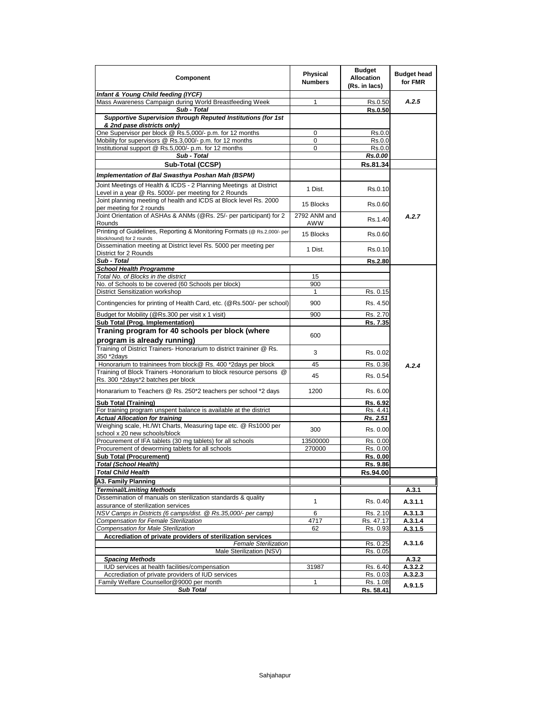| Component                                                                                                | Physical<br><b>Numbers</b> | <b>Budget</b><br><b>Allocation</b><br>(Rs. in lacs) | <b>Budget head</b><br>for FMR |
|----------------------------------------------------------------------------------------------------------|----------------------------|-----------------------------------------------------|-------------------------------|
| Infant & Young Child feeding (IYCF)                                                                      |                            |                                                     |                               |
| Mass Awareness Campaign during World Breastfeeding Week                                                  | 1                          | Rs.0.50                                             | A.2.5                         |
| Sub - Total                                                                                              |                            | <b>Rs.0.50</b>                                      |                               |
| Supportive Supervision through Reputed Institutions (for 1st<br>& 2nd pase districts only)               |                            |                                                     |                               |
| One Supervisor per block @ Rs.5,000/- p.m. for 12 months                                                 | $\mathbf 0$                | Rs.0.0                                              |                               |
| Mobility for supervisors @ Rs.3,000/- p.m. for 12 months                                                 | 0                          | Rs.0.0                                              |                               |
| Institutional support @ Rs.5,000/- p.m. for 12 months                                                    | 0                          | Rs.0.0                                              |                               |
| Sub - Total                                                                                              |                            | Rs.0.00                                             |                               |
| Sub-Total (CCSP)                                                                                         |                            | Rs.81.34                                            |                               |
| Implementation of Bal Swasthya Poshan Mah (BSPM)                                                         |                            |                                                     |                               |
| Joint Meetings of Health & ICDS - 2 Planning Meetings at District                                        |                            |                                                     |                               |
| Level in a year @ Rs. 5000/- per meeting for 2 Rounds                                                    | 1 Dist.                    | Rs.0.10                                             |                               |
| Joint planning meeting of health and ICDS at Block level Rs. 2000<br>per meeting for 2 rounds            | 15 Blocks                  | Rs.0.60                                             |                               |
| Joint Orientation of ASHAs & ANMs (@Rs. 25/- per participant) for 2                                      | 2792 ANM and               |                                                     | A.2.7                         |
| Rounds                                                                                                   | AWW                        | Rs.1.40                                             |                               |
| Printing of Guidelines, Reporting & Monitoring Formats (@ Rs.2,000/- per<br>block/round) for 2 rounds    | 15 Blocks                  | Rs.0.60                                             |                               |
| Dissemination meeting at District level Rs. 5000 per meeting per                                         | 1 Dist.                    | Rs.0.10                                             |                               |
| District for 2 Rounds                                                                                    |                            |                                                     |                               |
| Sub - Total<br><b>School Health Programme</b>                                                            |                            | <b>Rs.2.80</b>                                      |                               |
| Total No. of Blocks in the district                                                                      | 15                         |                                                     |                               |
| No. of Schools to be covered (60 Schools per block)                                                      | 900                        |                                                     |                               |
| District Sensitization workshop                                                                          | 1                          | Rs. 0.15                                            |                               |
| Contingencies for printing of Health Card, etc. (@Rs.500/- per school)                                   | 900                        | Rs. 4.50                                            |                               |
| Budget for Mobility (@Rs.300 per visit x 1 visit)                                                        | 900                        | Rs. 2.70                                            |                               |
| Sub Total (Prog. Implementation)                                                                         |                            | Rs. 7.35                                            |                               |
| Traning program for 40 schools per block (where<br>program is already running)                           | 600                        |                                                     |                               |
| Training of District Trainers- Honorarium to district traininer @ Rs.<br>350 *2days                      | 3                          | Rs. 0.02                                            |                               |
| Honorarium to traininees from block@ Rs. 400 *2days per block                                            | 45                         | Rs. 0.36                                            | A.2.4                         |
| Training of Block Trainers - Honorarium to block resource persons @                                      | 45                         | Rs. 0.54                                            |                               |
| Rs. 300 *2days*2 batches per block                                                                       |                            |                                                     |                               |
| Honararium to Teachers @ Rs. 250*2 teachers per school *2 days                                           | 1200                       | Rs. 6.00                                            |                               |
| Sub Total (Training)                                                                                     |                            | Rs. 6.92                                            |                               |
| For training program unspent balance is available at the district                                        |                            | Rs. 4.41                                            |                               |
| <b>Actual Allocation for training</b><br>Weighing scale, Ht./Wt Charts, Measuring tape etc. @ Rs1000 per |                            | Rs. 2.51                                            |                               |
| school x 20 new schools/block                                                                            | 300                        | Rs. 0.00                                            |                               |
| Procurement of IFA tablets (30 mg tablets) for all schools                                               | 13500000                   | Rs. 0.00                                            |                               |
| Procurement of deworming tablets for all schools                                                         | 270000                     | Rs. 0.00                                            |                               |
| <b>Sub Total (Procurement)</b>                                                                           |                            | Rs. 0.00                                            |                               |
| <b>Total (School Health)</b>                                                                             |                            | Rs. 9.86                                            |                               |
| <b>Total Child Health</b>                                                                                |                            | Rs.94.00                                            |                               |
| A3. Family Planning                                                                                      |                            |                                                     |                               |
| Terminal/Limiting Methods                                                                                |                            |                                                     | A.3.1                         |
| Dissemination of manuals on sterilization standards & quality<br>assurance of sterilization services     | 1                          | Rs. 0.40                                            | A.3.1.1                       |
| NSV Camps in Districts (6 camps/dist. @ Rs.35,000/- per camp)                                            | 6                          | Rs. 2.10                                            | A.3.1.3                       |
| Compensation for Female Sterilization                                                                    | 4717                       | Rs. 47.17                                           | A.3.1.4                       |
| Compensation for Male Sterilization<br>Accrediation of private providers of sterilization services       | 62                         | Rs. 0.93                                            | A.3.1.5                       |
| <b>Female Sterilization</b>                                                                              |                            | Rs. 0.25                                            | A.3.1.6                       |
| Male Sterilization (NSV)                                                                                 |                            | Rs. 0.05                                            |                               |
| <b>Spacing Methods</b>                                                                                   |                            |                                                     | A.3.2                         |
| IUD services at health facilities/compensation                                                           | 31987                      | Rs. 6.40                                            | A.3.2.2                       |
| Accrediation of private providers of IUD services                                                        |                            | Rs. 0.03                                            | A.3.2.3                       |
| Family Welfare Counsellor@9000 per month                                                                 | 1                          | Rs. 1.08                                            | A.9.1.5                       |
| <b>Sub Total</b>                                                                                         |                            | Rs. 58.41                                           |                               |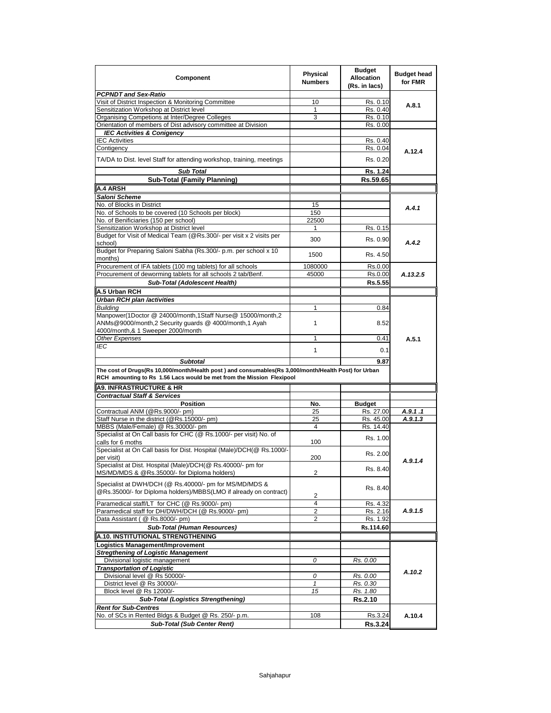| <b>Component</b>                                                                                                            | Physical<br><b>Numbers</b> | <b>Budget</b><br><b>Allocation</b><br>(Rs. in lacs) | <b>Budget head</b><br>for FMR |
|-----------------------------------------------------------------------------------------------------------------------------|----------------------------|-----------------------------------------------------|-------------------------------|
| <b>PCPNDT and Sex-Ratio</b>                                                                                                 |                            |                                                     |                               |
| Visit of District Inspection & Monitoring Committee                                                                         | 10                         | Rs. 0.10                                            | A.8.1                         |
| Sensitization Workshop at District level                                                                                    | 1                          | Rs. 0.40                                            |                               |
| Organising Competions at Inter/Degree Colleges                                                                              | 3                          | Rs. 0.10                                            |                               |
| Orientation of members of Dist advisory committee at Division                                                               |                            | Rs. 0.00                                            |                               |
| <b>IEC Activities &amp; Conigency</b>                                                                                       |                            |                                                     |                               |
| <b>IEC Activities</b>                                                                                                       |                            | Rs. 0.40                                            |                               |
| Contigency                                                                                                                  |                            | Rs. 0.04                                            | A.12.4                        |
| TA/DA to Dist. level Staff for attending workshop, training, meetings                                                       |                            | Rs. 0.20                                            |                               |
| <b>Sub Total</b>                                                                                                            |                            | Rs. 1.24                                            |                               |
| <b>Sub-Total (Family Planning)</b>                                                                                          |                            | Rs.59.65                                            |                               |
| A.4 ARSH                                                                                                                    |                            |                                                     |                               |
| Saloni Scheme                                                                                                               |                            |                                                     |                               |
| No. of Blocks in District                                                                                                   | 15                         |                                                     | A.4.1                         |
| No. of Schools to be covered (10 Schools per block)                                                                         | 150                        |                                                     |                               |
| No. of Benificiaries (150 per school)                                                                                       | 22500                      |                                                     |                               |
| Sensitization Workshop at District level                                                                                    | 1                          | Rs. 0.15                                            |                               |
| Budget for Visit of Medical Team (@Rs.300/- per visit x 2 visits per<br>school)                                             | 300                        | Rs. 0.90                                            | A.4.2                         |
| Budget for Preparing Saloni Sabha (Rs.300/- p.m. per school x 10                                                            | 1500                       | Rs. 4.50                                            |                               |
| months)<br>Procurement of IFA tablets (100 mg tablets) for all schools                                                      | 1080000                    | Rs.0.00                                             |                               |
| Procurement of deworming tablets for all schools 2 tab/Benf.                                                                | 45000                      | Rs.0.00                                             | A.13.2.5                      |
| Sub-Total (Adolescent Health)                                                                                               |                            | Rs.5.55                                             |                               |
|                                                                                                                             |                            |                                                     |                               |
| A.5 Urban RCH                                                                                                               |                            |                                                     |                               |
| <b>Urban RCH plan /activities</b>                                                                                           |                            |                                                     |                               |
| <b>Building</b>                                                                                                             | 1                          | 0.84                                                |                               |
| Manpower(1Doctor @ 24000/month,1Staff Nurse@ 15000/month,2<br>ANMs@9000/month,2 Security guards @ 4000/month,1 Ayah         | $\mathbf{1}$               | 8.52                                                |                               |
| 4000/month,& 1 Sweeper 2000/month<br>Other Expenses                                                                         | $\mathbf{1}$               |                                                     |                               |
| IEC                                                                                                                         |                            | 0.41                                                | A.5.1                         |
|                                                                                                                             | $\mathbf{1}$               | 0.1                                                 |                               |
| <b>Subtotal</b>                                                                                                             |                            | 9.87                                                |                               |
| The cost of Drugs(Rs 10,000/month/Health post ) and consumables(Rs 3,000/month/Health Post) for Urban                       |                            |                                                     |                               |
| RCH amounting to Rs 1.56 Lacs would be met from the Mission Flexipool                                                       |                            |                                                     |                               |
| <b>A9. INFRASTRUCTURE &amp; HR</b>                                                                                          |                            |                                                     |                               |
| <b>Contractual Staff &amp; Services</b>                                                                                     |                            |                                                     |                               |
| <b>Position</b>                                                                                                             | No.                        | <b>Budget</b>                                       |                               |
| Contractual ANM (@Rs.9000/- pm)                                                                                             | 25                         | Rs. 27.00                                           | A.9.1.1                       |
| Staff Nurse in the district (@Rs.15000/- pm)                                                                                | 25                         | Rs. 45.00                                           | A.9.1.3                       |
| MBBS (Male/Female) @ Rs.30000/- pm                                                                                          | 4                          | Rs. 14.40                                           |                               |
| Specialist at On Call basis for CHC (@ Rs.1000/- per visit) No. of<br>calls for 6 moths                                     | 100                        | Rs. 1.00                                            |                               |
| Specialist at On Call basis for Dist. Hospital (Male)/DCH(@ Rs.1000/-<br>per visit)                                         | 200                        | Rs. 2.00                                            |                               |
| Specialist at Dist. Hospital (Male)/DCH(@ Rs.40000/- pm for                                                                 |                            |                                                     | A.9.1.4                       |
| MS/MD/MDS & @Rs.35000/- for Diploma holders)                                                                                | $\overline{c}$             | Rs. 8.40                                            |                               |
| Specialist at DWH/DCH (@ Rs.40000/- pm for MS/MD/MDS &<br>@Rs.35000/- for Diploma holders)/MBBS(LMO if already on contract) |                            | Rs. 8.40                                            |                               |
|                                                                                                                             | $\overline{\mathbf{c}}$    |                                                     |                               |
| Paramedical staff/LT for CHC (@ Rs.9000/- pm)                                                                               | 4                          | Rs. 4.32                                            |                               |
| Paramedical staff for DH/DWH/DCH (@ Rs.9000/- pm)                                                                           | $\overline{2}$             | Rs. 2.16                                            | A.9.1.5                       |
| Data Assistant (@ Rs.8000/- pm)                                                                                             | 2                          | Rs. 1.92                                            |                               |
| Sub-Total (Human Resources)                                                                                                 |                            | Rs.114.60                                           |                               |
| A.10. INSTITUTIONAL STRENGTHENING                                                                                           |                            |                                                     |                               |
| Logistics Management/Improvement                                                                                            |                            |                                                     |                               |
| <b>Stregthening of Logistic Management</b>                                                                                  |                            |                                                     |                               |
| Divisional logistic management                                                                                              | 0                          | Rs. 0.00                                            |                               |
| <b>Transportation of Logistic</b>                                                                                           |                            |                                                     | A.10.2                        |
| Divisional level @ Rs 50000/-                                                                                               | 0                          | Rs. 0.00                                            |                               |
| District level @ Rs 30000/-                                                                                                 | 1                          | Rs. 0.30                                            |                               |
| Block level @ Rs 12000/-                                                                                                    | 15                         | Rs. 1.80                                            |                               |
| <b>Sub-Total (Logistics Strengthening)</b>                                                                                  |                            | Rs.2.10                                             |                               |
| <b>Rent for Sub-Centres</b>                                                                                                 |                            |                                                     |                               |
| No. of SCs in Rented Bldgs & Budget @ Rs. 250/- p.m.                                                                        | 108                        | Rs.3.24                                             | A.10.4                        |
| <b>Sub-Total (Sub Center Rent)</b>                                                                                          |                            | <b>Rs.3.24</b>                                      |                               |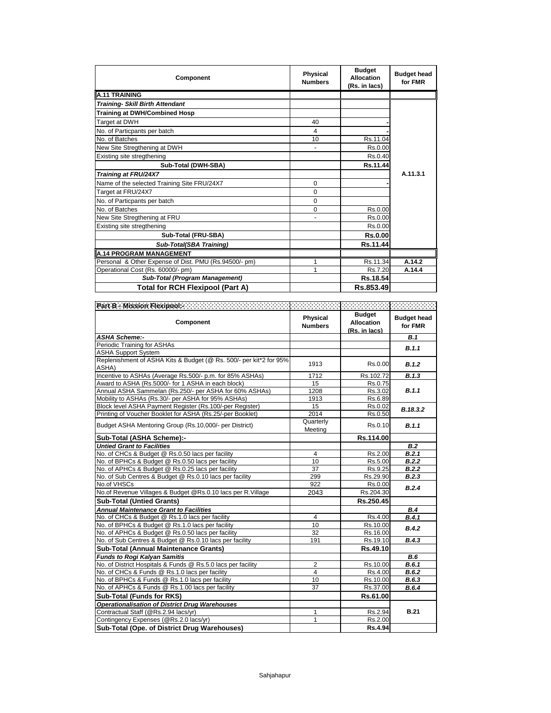| Component                                             | <b>Physical</b><br><b>Numbers</b> | <b>Budget</b><br><b>Allocation</b><br>(Rs. in lacs) | <b>Budget head</b><br>for FMR |
|-------------------------------------------------------|-----------------------------------|-----------------------------------------------------|-------------------------------|
| <b>A.11 TRAINING</b>                                  |                                   |                                                     |                               |
| <b>Training- Skill Birth Attendant</b>                |                                   |                                                     |                               |
| <b>Training at DWH/Combined Hosp</b>                  |                                   |                                                     |                               |
| Target at DWH                                         | 40                                |                                                     |                               |
| No. of Particpants per batch                          | 4                                 |                                                     |                               |
| No. of Batches                                        | 10                                | Rs.11.04                                            |                               |
| New Site Stregthening at DWH                          |                                   | Rs.0.00                                             |                               |
| Existing site stregthening                            |                                   | Rs.0.40                                             |                               |
| Sub-Total (DWH-SBA)                                   |                                   | Rs.11.44                                            |                               |
| Training at FRU/24X7                                  |                                   |                                                     | A.11.3.1                      |
| Name of the selected Training Site FRU/24X7           | $\Omega$                          |                                                     |                               |
| Target at FRU/24X7                                    | $\Omega$                          |                                                     |                               |
| No. of Particpants per batch                          | $\Omega$                          |                                                     |                               |
| No. of Batches                                        | 0                                 | Rs.0.00                                             |                               |
| New Site Stregthening at FRU                          |                                   | Rs.0.00                                             |                               |
| Existing site stregthening                            |                                   | Rs.0.00                                             |                               |
| Sub-Total (FRU-SBA)                                   |                                   | <b>Rs.0.00</b>                                      |                               |
| Sub-Total(SBA Training)                               |                                   | Rs.11.44                                            |                               |
| A.14 PROGRAM MANAGEMENT                               |                                   |                                                     |                               |
| Personal & Other Expense of Dist. PMU (Rs.94500/- pm) |                                   | Rs.11.34                                            | A.14.2                        |
| Operational Cost (Rs. 60000/- pm)                     |                                   | Rs.7.20                                             | A.14.4                        |
| Sub-Total (Program Management)                        |                                   | Rs.18.54                                            |                               |
| <b>Total for RCH Flexipool (Part A)</b>               |                                   | Rs.853.49                                           |                               |

| Part B - Mission Flexipool: William Wallet                          |                            |                                                     |                               |
|---------------------------------------------------------------------|----------------------------|-----------------------------------------------------|-------------------------------|
| Component                                                           | Physical<br><b>Numbers</b> | <b>Budget</b><br><b>Allocation</b><br>(Rs. in lacs) | <b>Budget head</b><br>for FMR |
| <b>ASHA Scheme:-</b>                                                |                            |                                                     | <b>B.1</b>                    |
| Periodic Training for ASHAs                                         |                            |                                                     | B.1.1                         |
| <b>ASHA Support System</b>                                          |                            |                                                     |                               |
| Replenishment of ASHA Kits & Budget (@ Rs. 500/- per kit*2 for 95%) | 1913                       | Rs.0.00                                             | B.1.2                         |
| ASHA)                                                               |                            |                                                     |                               |
| Incentive to ASHAs (Average Rs.500/- p.m. for 85% ASHAs)            | 1712                       | Rs.102.72                                           | B.1.3                         |
| Award to ASHA (Rs.5000/- for 1 ASHA in each block)                  | 15                         | Rs 0.75                                             |                               |
| Annual ASHA Sammelan (Rs.250/- per ASHA for 60% ASHAs)              | 1208                       | Rs.3.02                                             | B.1.1                         |
| Mobility to ASHAs (Rs.30/- per ASHA for 95% ASHAs)                  | 1913                       | Rs.6.89                                             |                               |
| Block level ASHA Payment Register (Rs.100/-per Register)            | 15                         | Rs.0.02                                             | B.18.3.2                      |
| Printing of Voucher Booklet for ASHA (Rs.25/-per Booklet)           | 2014                       | Rs.0.50                                             |                               |
| Budget ASHA Mentoring Group (Rs.10,000/- per District)              | Quarterly                  | Rs.0.10                                             | B.1.1                         |
|                                                                     | Meeting                    |                                                     |                               |
| Sub-Total (ASHA Scheme):-                                           |                            | Rs.114.00                                           |                               |
| <b>Untied Grant to Facilities</b>                                   |                            |                                                     | B.2                           |
| No. of CHCs & Budget @ Rs.0.50 lacs per facility                    | $\overline{4}$             | Rs.2.00                                             | B.2.1                         |
| No. of BPHCs & Budget @ Rs.0.50 lacs per facility                   | 10                         | Rs.5.00                                             | B.2.2                         |
| No. of APHCs & Budget @ Rs.0.25 lacs per facility                   | 37                         | Rs.9.25                                             | B.2.2                         |
| No. of Sub Centres & Budget @ Rs.0.10 lacs per facility             | 299                        | Rs.29.90                                            | B.2.3                         |
| No.of VHSCs                                                         | 922                        | Rs.0.00                                             | B.2.4                         |
| No.of Revenue Villages & Budget @Rs.0.10 lacs per R.Village         | 2043                       | Rs.204.30                                           |                               |
| <b>Sub-Total (Untied Grants)</b>                                    |                            | Rs.250.45                                           |                               |
| <b>Annual Maintenance Grant to Facilities</b>                       |                            |                                                     | B.4                           |
| No. of CHCs & Budget @ Rs.1.0 lacs per facility                     | 4                          | Rs.4.00                                             | B.4.1                         |
| No. of BPHCs & Budget @ Rs.1.0 lacs per facility                    | 10                         | Rs.10.00                                            | B.4.2                         |
| No. of APHCs & Budget @ Rs.0.50 lacs per facility                   | 32                         | Rs.16.00                                            |                               |
| No. of Sub Centres & Budget @ Rs.0.10 lacs per facility             | 191                        | Rs.19.10                                            | B.4.3                         |
| Sub-Total (Annual Maintenance Grants)                               |                            | Rs.49.10                                            |                               |
| <b>Funds to Rogi Kalyan Samitis</b>                                 |                            |                                                     | B.6                           |
| No. of District Hospitals & Funds @ Rs.5.0 lacs per facility        | $\overline{2}$             | Rs.10.00                                            | B.6.1                         |
| No. of CHCs & Funds @ Rs.1.0 lacs per facility                      | $\overline{4}$             | Rs.4.00                                             | B.6.2                         |
| No. of BPHCs & Funds @ Rs.1.0 lacs per facility                     | 10                         | Rs.10.00                                            | B.6.3                         |
| No. of APHCs & Funds @ Rs.1.00 lacs per facility                    | $\overline{37}$            | Rs.37.00                                            | B.6.4                         |
| <b>Sub-Total (Funds for RKS)</b>                                    |                            | Rs.61.00                                            |                               |
| <b>Operationalisation of District Drug Warehouses</b>               |                            |                                                     |                               |
| Contractual Staff (@Rs.2.94 lacs/yr)                                | 1                          | Rs.2.94                                             | <b>B.21</b>                   |
| Contingency Expenses (@Rs.2.0 lacs/yr)                              | 1                          | Rs.2.00                                             |                               |
| Sub-Total (Ope. of District Drug Warehouses)                        |                            | Rs.4.94                                             |                               |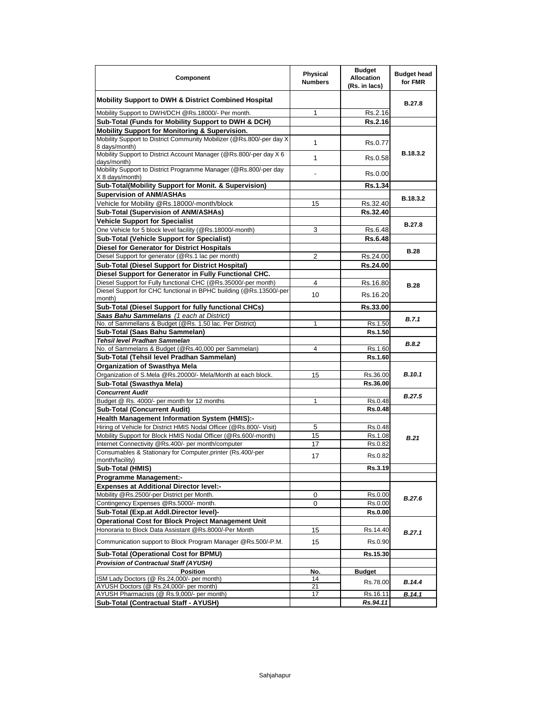| Component                                                                             | Physical<br><b>Numbers</b> | <b>Budget</b><br><b>Allocation</b><br>(Rs. in lacs) | <b>Budget head</b><br>for FMR |
|---------------------------------------------------------------------------------------|----------------------------|-----------------------------------------------------|-------------------------------|
| Mobility Support to DWH & District Combined Hospital                                  |                            |                                                     | B.27.8                        |
| Mobility Support to DWH/DCH @Rs.18000/- Per month.                                    | 1                          | Rs.2.16                                             |                               |
| Sub-Total (Funds for Mobility Support to DWH & DCH)                                   |                            | Rs.2.16                                             |                               |
| Mobility Support for Monitoring & Supervision.                                        |                            |                                                     |                               |
| Mobility Support to District Community Mobilizer (@Rs.800/-per day X)                 |                            |                                                     |                               |
| 8 days/month)                                                                         | $\mathbf{1}$               | Rs.0.77                                             |                               |
| Mobility Support to District Account Manager (@Rs.800/-per day X 6<br>days/month)     | $\mathbf{1}$               | Rs.0.58                                             | B.18.3.2                      |
| Mobility Support to District Programme Manager (@Rs.800/-per day<br>X 8 days/month)   |                            | Rs.0.00                                             |                               |
| Sub-Total(Mobility Support for Monit. & Supervision)                                  |                            | Rs.1.34                                             |                               |
| <b>Supervision of ANM/ASHAs</b>                                                       |                            |                                                     |                               |
| Vehicle for Mobility @Rs.18000/-month/block                                           | 15                         | Rs.32.40                                            | B.18.3.2                      |
| Sub-Total (Supervision of ANM/ASHAs)                                                  |                            | Rs.32.40                                            |                               |
| <b>Vehicle Support for Specialist</b>                                                 |                            |                                                     |                               |
| One Vehicle for 5 block level facility (@Rs.18000/-month)                             | 3                          | Rs.6.48                                             | <b>B.27.8</b>                 |
| Sub-Total (Vehicle Support for Specialist)                                            |                            | Rs.6.48                                             |                               |
| Diesel for Generator for District Hospitals                                           |                            |                                                     |                               |
| Diesel Support for generator (@Rs.1 lac per month)                                    | 2                          | Rs.24.00                                            | <b>B.28</b>                   |
| Sub-Total (Diesel Support for District Hospital)                                      |                            | Rs.24.00                                            |                               |
| Diesel Support for Generator in Fully Functional CHC.                                 |                            |                                                     |                               |
| Diesel Support for Fully functional CHC (@Rs.35000/-per month)                        | 4                          |                                                     |                               |
| Diesel Support for CHC functional in BPHC building (@Rs.13500/-per                    |                            | Rs.16.80                                            | <b>B.28</b>                   |
| month)                                                                                | 10                         | Rs.16.20                                            |                               |
| Sub-Total (Diesel Support for fully functional CHCs)                                  |                            | Rs.33.00                                            |                               |
| Saas Bahu Sammelans (1 each at District)                                              |                            |                                                     |                               |
| No. of Sammellans & Budget (@Rs. 1.50 lac. Per District)                              | 1                          | Rs.1.50                                             | <b>B.7.1</b>                  |
| Sub-Total (Saas Bahu Sammelan)                                                        |                            | Rs.1.50                                             |                               |
| Tehsil level Pradhan Sammelan                                                         |                            |                                                     | B.8.2                         |
| No. of Sammelans & Budget (@Rs.40,000 per Sammelan)                                   | 4                          | Rs.1.60                                             |                               |
| Sub-Total (Tehsil level Pradhan Sammelan)                                             |                            | Rs.1.60                                             |                               |
| <b>Organization of Swasthya Mela</b>                                                  |                            |                                                     |                               |
| Organization of S.Mela @Rs.20000/- Mela/Month at each block.                          | 15                         | Rs.36.00                                            | <b>B.10.1</b>                 |
| Sub-Total (Swasthya Mela)                                                             |                            | Rs.36.00                                            |                               |
| <b>Concurrent Audit</b>                                                               |                            |                                                     | <b>B.27.5</b>                 |
| Budget @ Rs. 4000/- per month for 12 months                                           | 1                          | Rs.0.48                                             |                               |
| <b>Sub-Total (Concurrent Audit)</b>                                                   |                            | <b>Rs.0.48</b>                                      |                               |
| Health Management Information System (HMIS):-                                         |                            |                                                     |                               |
| Hiring of Vehicle for District HMIS Nodal Officer (@Rs.800/- Visit)                   | 5                          | Rs.0.48                                             |                               |
| Mobility Support for Block HMIS Nodal Officer (@Rs.600/-month)                        | 15                         | Rs.1.08                                             | B.21                          |
| Internet Connectivity @Rs.400/- per month/computer                                    | 17                         | Rs.0.82                                             |                               |
| Consumables & Stationary for Computer, printer (Rs.400/-per                           | 17                         |                                                     |                               |
| month/facility)                                                                       |                            | Rs.0.82                                             |                               |
| Sub-Total (HMIS)                                                                      |                            | Rs.3.19                                             |                               |
| <b>Programme Management:-</b>                                                         |                            |                                                     |                               |
| <b>Expenses at Additional Director level:-</b>                                        |                            |                                                     |                               |
| Mobility @Rs.2500/-per District per Month.                                            | 0                          | Rs.0.00                                             |                               |
| Contingency Expenses @Rs.5000/- month.                                                | 0                          | Rs.0.00                                             | B.27.6                        |
| Sub-Total (Exp.at Addl.Director level)-                                               |                            | <b>Rs.0.00</b>                                      |                               |
| <b>Operational Cost for Block Project Management Unit</b>                             |                            |                                                     |                               |
| Honoraria to Block Data Assistant @Rs.8000/-Per Month                                 | 15                         | Rs.14.40                                            |                               |
| Communication support to Block Program Manager @Rs.500/-P.M.                          | 15                         | Rs.0.90                                             | B.27.1                        |
| Sub-Total (Operational Cost for BPMU)                                                 |                            | Rs.15.30                                            |                               |
| <b>Provision of Contractual Staff (AYUSH)</b>                                         |                            |                                                     |                               |
| <b>Position</b>                                                                       | No.                        | <b>Budget</b>                                       |                               |
| ISM Lady Doctors (@ Rs.24,000/- per month)                                            | 14                         | Rs.78.00                                            | B.14.4                        |
| AYUSH Doctors (@ Rs.24,000/- per month)<br>AYUSH Pharmacists (@ Rs.9,000/- per month) | 21                         |                                                     | B.14.1                        |
|                                                                                       | 17                         | Rs.16.11                                            |                               |
| Sub-Total (Contractual Staff - AYUSH)                                                 |                            | Rs.94.11                                            |                               |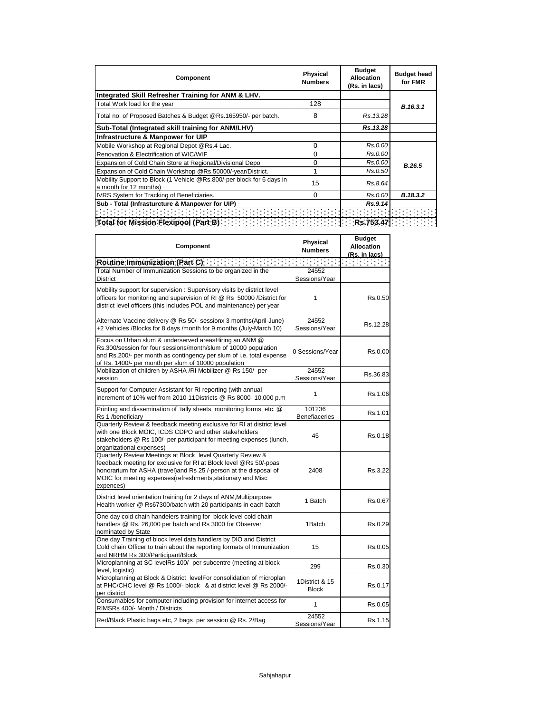| Component                                                                                       | <b>Physical</b><br><b>Numbers</b> | <b>Budget</b><br>Allocation<br>(Rs. in lacs) | <b>Budget head</b><br>for FMR |
|-------------------------------------------------------------------------------------------------|-----------------------------------|----------------------------------------------|-------------------------------|
| Integrated Skill Refresher Training for ANM & LHV.                                              |                                   |                                              |                               |
| Total Work load for the year                                                                    | 128                               |                                              | B.16.3.1                      |
| Total no. of Proposed Batches & Budget @Rs.165950/- per batch.                                  | 8                                 | Rs.13.28                                     |                               |
| Sub-Total (Integrated skill training for ANM/LHV)                                               |                                   | Rs.13.28                                     |                               |
| Infrastructure & Manpower for UIP                                                               |                                   |                                              |                               |
| Mobile Workshop at Regional Depot @Rs.4 Lac.                                                    | 0                                 | Rs.0.00                                      |                               |
| Renovation & Electrification of WIC/WIF                                                         | 0                                 | Rs.0.00                                      |                               |
| Expansion of Cold Chain Store at Regional/Divisional Depo                                       | 0                                 | Rs.0.00                                      | B.26.5                        |
| Expansion of Cold Chain Workshop @Rs.50000/-year/District.                                      |                                   | Rs.0.50                                      |                               |
| Mobility Support to Block (1 Vehicle @Rs.800/-per block for 6 days in<br>a month for 12 months) | 15                                | Rs.8.64                                      |                               |
| IVRS System for Tracking of Beneficiaries.                                                      | 0                                 | Rs.0.00                                      | B.18.3.2                      |
| Sub - Total (Infrasturcture & Manpower for UIP)                                                 |                                   | Rs.9.14                                      |                               |
| 0000000000000000                                                                                |                                   |                                              |                               |
|                                                                                                 |                                   |                                              |                               |

| Component                                                                                                                                                                                                                                                                          | Physical<br><b>Numbers</b>     | <b>Budget</b><br><b>Allocation</b><br>(Rs. in lacs) |
|------------------------------------------------------------------------------------------------------------------------------------------------------------------------------------------------------------------------------------------------------------------------------------|--------------------------------|-----------------------------------------------------|
| $\sim 100$<br>Routine Immunization (Part C)                                                                                                                                                                                                                                        |                                |                                                     |
| Total Number of Immunization Sessions to be organized in the<br>District                                                                                                                                                                                                           | 24552<br>Sessions/Year         |                                                     |
| Mobility support for supervision: Supervisory visits by district level<br>officers for monitoring and supervision of RI @ Rs 50000 /District for<br>district level officers (this includes POL and maintenance) per year                                                           | 1                              | Rs.0.50                                             |
| Alternate Vaccine delivery @ Rs 50/- sessionx 3 months(April-June)<br>+2 Vehicles /Blocks for 8 days /month for 9 months (July-March 10)                                                                                                                                           | 24552<br>Sessions/Year         | Rs.12.28                                            |
| Focus on Urban slum & underserved areasHiring an ANM @<br>Rs.300/session for four sessions/month/slum of 10000 population<br>and Rs.200/- per month as contingency per slum of i.e. total expense<br>of Rs. 1400/- per month per slum of 10000 population                          | 0 Sessions/Year                | Rs.0.00                                             |
| Mobilization of children by ASHA /RI Mobilizer @ Rs 150/- per<br>session                                                                                                                                                                                                           | 24552<br>Sessions/Year         | Rs.36.83                                            |
| Support for Computer Assistant for RI reporting (with annual<br>increment of 10% wef from 2010-11Districts @ Rs 8000- 10,000 p.m                                                                                                                                                   | 1                              | Rs.1.06                                             |
| Printing and dissemination of tally sheets, monitoring forms, etc. @<br>Rs 1 /beneficiary                                                                                                                                                                                          | 101236<br><b>Benefiaceries</b> | Rs.1.01                                             |
| Quarterly Review & feedback meeting exclusive for RI at district level<br>with one Block MOIC, ICDS CDPO and other stakeholders<br>stakeholders @ Rs 100/- per participant for meeting expenses (lunch,<br>organizational expenses)                                                | 45                             | Rs.0.18                                             |
| Quarterly Review Meetings at Block level Quarterly Review &<br>feedback meeting for exclusive for RI at Block level @Rs 50/-ppas<br>honorarium for ASHA (travel)and Rs 25 /-person at the disposal of<br>MOIC for meeting expenses (refreshments, stationary and Misc<br>expences) | 2408                           | Rs.3.22                                             |
| District level orientation training for 2 days of ANM, Multipurpose<br>Health worker @ Rs67300/batch with 20 participants in each batch                                                                                                                                            | 1 Batch                        | Rs.0.67                                             |
| One day cold chain handelers training for block level cold chain<br>handlers @ Rs. 26,000 per batch and Rs 3000 for Observer<br>nominated by State                                                                                                                                 | 1Batch                         | Rs.0.29                                             |
| One day Training of block level data handlers by DIO and District<br>Cold chain Officer to train about the reporting formats of Immunization<br>and NRHM Rs 300/Participant/Block                                                                                                  | 15                             | Rs.0.05                                             |
| Microplanning at SC levelRs 100/- per subcentre (meeting at block<br>level, logistic)                                                                                                                                                                                              | 299                            | Rs.0.30                                             |
| Microplanning at Block & District levelFor consolidation of microplan<br>at PHC/CHC level @ Rs 1000/- block & at district level @ Rs 2000/-<br>per district                                                                                                                        | 1District & 15<br><b>Block</b> | Rs.0.17                                             |
| Consumables for computer including provision for internet access for<br>RIMSRs 400/- Month / Districts                                                                                                                                                                             | 1                              | Rs.0.05                                             |
| Red/Black Plastic bags etc, 2 bags per session @ Rs. 2/Bag                                                                                                                                                                                                                         | 24552<br>Sessions/Year         | Rs.1.15                                             |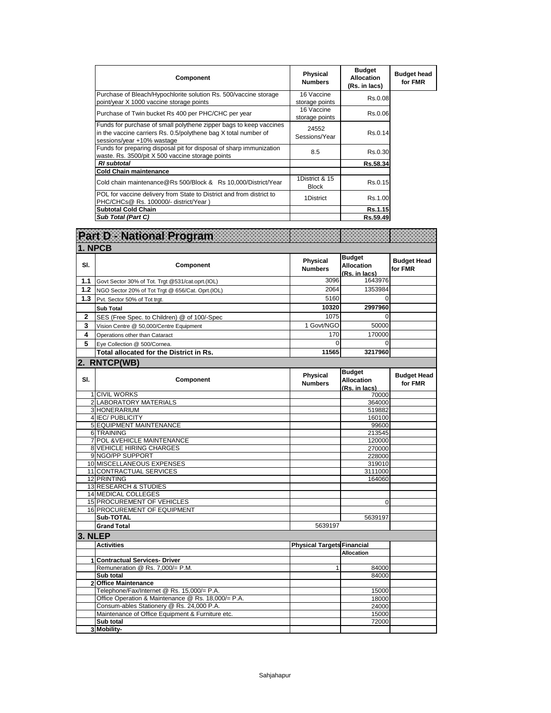| Component                                                                                                                                                           | Physical<br><b>Numbers</b>     | <b>Budget</b><br><b>Allocation</b><br>(Rs. in lacs) | <b>Budget head</b><br>for FMR |
|---------------------------------------------------------------------------------------------------------------------------------------------------------------------|--------------------------------|-----------------------------------------------------|-------------------------------|
| Purchase of Bleach/Hypochlorite solution Rs. 500/vaccine storage<br>point/year X 1000 vaccine storage points                                                        | 16 Vaccine<br>storage points   | Rs.0.08                                             |                               |
| Purchase of Twin bucket Rs 400 per PHC/CHC per year                                                                                                                 | 16 Vaccine<br>storage points   | Rs.0.06                                             |                               |
| Funds for purchase of small polythene zipper bags to keep vaccines<br>in the vaccine carriers Rs. 0.5/polythene bag X total number of<br>sessions/year +10% wastage | 24552<br>Sessions/Year         | Rs.0.14                                             |                               |
| Funds for preparing disposal pit for disposal of sharp immunization<br>waste. Rs. 3500/pit X 500 vaccine storage points                                             | 8.5                            | Rs.0.30                                             |                               |
| <b>RI</b> subtotal                                                                                                                                                  |                                | Rs.58.34                                            |                               |
| <b>Cold Chain maintenance</b>                                                                                                                                       |                                |                                                     |                               |
| Cold chain maintenance @Rs 500/Block & Rs 10,000/District/Year                                                                                                      | 1District & 15<br><b>Block</b> | Rs.0.15                                             |                               |
| POL for vaccine delivery from State to District and from district to<br>PHC/CHCs@ Rs. 100000/- district/Year)                                                       | 1District                      | Rs.1.00                                             |                               |
| <b>Subtotal Cold Chain</b>                                                                                                                                          |                                | Rs.1.15                                             |                               |
| Sub Total (Part C)                                                                                                                                                  |                                | Rs.59.49                                            |                               |

|                         | <b>Part D - National Program</b>                   |                                   |                                                     |                               |
|-------------------------|----------------------------------------------------|-----------------------------------|-----------------------------------------------------|-------------------------------|
| 1. NPCB                 |                                                    |                                   |                                                     |                               |
| SI.                     | Component                                          | Physical<br><b>Numbers</b>        | <b>Budget</b><br><b>Allocation</b><br>(Rs. in lacs) | <b>Budget Head</b><br>for FMR |
| 1.1                     | Govt Sector 30% of Tot. Trgt @531/cat.oprt.(IOL)   | 3096                              | 1643976                                             |                               |
| 1.2                     | NGO Sector 20% of Tot Trgt @ 656/Cat. Oprt.(IOL)   | 2064                              | 1353984                                             |                               |
| 1.3                     | Pvt. Sector 50% of Tot trgt.                       | 5160                              | $\Omega$                                            |                               |
|                         | <b>Sub Total</b>                                   | 10320                             | 2997960                                             |                               |
| $\overline{\mathbf{2}}$ | SES (Free Spec. to Children) @ of 100/-Spec        | 1075                              | $\Omega$                                            |                               |
| 3                       | Vision Centre @ 50,000/Centre Equipment            | 1 Govt/NGO                        | 50000                                               |                               |
| 4                       | Operations other than Cataract                     | 170                               | 170000                                              |                               |
| 5                       | Eye Collection @ 500/Cornea.                       | $\Omega$                          | $\Omega$                                            |                               |
|                         | Total allocated for the District in Rs.            | 11565                             | 3217960                                             |                               |
|                         |                                                    |                                   |                                                     |                               |
|                         | 2. RNTCP(WB)                                       |                                   |                                                     |                               |
| SI.                     | Component                                          | <b>Physical</b><br><b>Numbers</b> | <b>Budget</b><br><b>Allocation</b><br>(Rs. in lacs) | <b>Budget Head</b><br>for FMR |
|                         | <b>1 CIVIL WORKS</b>                               |                                   | 70000                                               |                               |
|                         | 2 LABORATORY MATERIALS                             |                                   | 364000                                              |                               |
|                         | 3 HONERARIUM                                       |                                   | 519882                                              |                               |
|                         | 4 IEC/PUBLICITY                                    |                                   | 160100                                              |                               |
|                         | <b>5 EQUIPMENT MAINTENANCE</b>                     |                                   | 99600                                               |                               |
|                         | 6 TRAINING                                         |                                   | 213545                                              |                               |
|                         | 7 POL & VEHICLE MAINTENANCE                        |                                   | 120000                                              |                               |
|                         | 8 VEHICLE HIRING CHARGES                           |                                   | 270000                                              |                               |
|                         | 9 NGO/PP SUPPORT<br>10 MISCELLANEOUS EXPENSES      |                                   | 228000<br>319010                                    |                               |
|                         | 11 CONTRACTUAL SERVICES                            |                                   | 3111000                                             |                               |
|                         | 12 PRINTING                                        |                                   | 164060                                              |                               |
|                         | <b>13 RESEARCH &amp; STUDIES</b>                   |                                   |                                                     |                               |
|                         | 14 MEDICAL COLLEGES                                |                                   |                                                     |                               |
|                         | 15 PROCUREMENT OF VEHICLES                         |                                   | 0                                                   |                               |
|                         | <b>16 PROCUREMENT OF EQUIPMENT</b>                 |                                   |                                                     |                               |
|                         | Sub-TOTAL                                          |                                   | 5639197                                             |                               |
|                         | <b>Grand Total</b>                                 | 5639197                           |                                                     |                               |
| 3. NLEP                 |                                                    |                                   |                                                     |                               |
|                         | <b>Activities</b>                                  |                                   | <b>Physical Targets Financial</b>                   |                               |
|                         |                                                    |                                   | <b>Allocation</b>                                   |                               |
|                         | 1 Contractual Services- Driver                     | $\mathbf{1}$                      | 84000                                               |                               |
|                         | Remuneration @ Rs. 7,000/= P.M.<br>Sub total       |                                   | 84000                                               |                               |
|                         | 2 Office Maintenance                               |                                   |                                                     |                               |
|                         | Telephone/Fax/Internet @ Rs. 15,000/= P.A.         |                                   | 15000                                               |                               |
|                         | Office Operation & Maintenance @ Rs. 18,000/= P.A. |                                   | 18000                                               |                               |
|                         | Consum-ables Stationery @ Rs. 24,000 P.A.          |                                   | 24000                                               |                               |
|                         | Maintenance of Office Equipment & Furniture etc.   |                                   | 15000                                               |                               |
|                         | Sub total                                          |                                   | 72000                                               |                               |
|                         | 3 Mobility-                                        |                                   |                                                     |                               |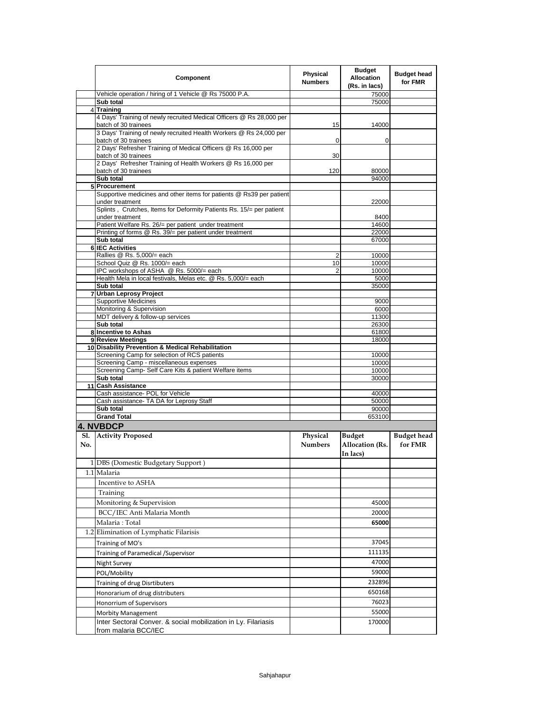|     | Component                                                                                         | <b>Physical</b><br><b>Numbers</b> | <b>Budget</b><br><b>Allocation</b><br>(Rs. in lacs) | <b>Budget head</b><br>for FMR |
|-----|---------------------------------------------------------------------------------------------------|-----------------------------------|-----------------------------------------------------|-------------------------------|
|     | Vehicle operation / hiring of 1 Vehicle @ Rs 75000 P.A.                                           |                                   | 75000                                               |                               |
|     | Sub total                                                                                         |                                   | 75000                                               |                               |
|     | 4 Training<br>4 Days' Training of newly recruited Medical Officers @ Rs 28,000 per                |                                   |                                                     |                               |
|     | batch of 30 trainees                                                                              | 15                                | 14000                                               |                               |
|     | 3 Days' Training of newly recruited Health Workers @ Rs 24,000 per<br>batch of 30 trainees        | 0                                 | 0                                                   |                               |
|     | 2 Days' Refresher Training of Medical Officers @ Rs 16,000 per<br>batch of 30 trainees            | 30                                |                                                     |                               |
|     | 2 Days' Refresher Training of Health Workers @ Rs 16,000 per<br>batch of 30 trainees              | 120                               | 80000                                               |                               |
|     | Sub total                                                                                         |                                   | 94000                                               |                               |
|     | 5 Procurement                                                                                     |                                   |                                                     |                               |
|     | Supportive medicines and other items for patients @ Rs39 per patient<br>under treatment           |                                   | 22000                                               |                               |
|     | Splints, Crutches, Items for Deformity Patients Rs. 15/= per patient<br>under treatment           |                                   | 8400                                                |                               |
|     | Patient Welfare Rs. 26/= per patient under treatment                                              |                                   | 14600                                               |                               |
|     | Printing of forms @ Rs. 39/= per patient under treatment                                          |                                   | 22000                                               |                               |
|     | Sub total                                                                                         |                                   | 67000                                               |                               |
|     | <b>6 IEC Activities</b><br>Rallies @ Rs. 5,000/= each                                             |                                   |                                                     |                               |
|     | School Quiz @ Rs. 1000/= each                                                                     | 2<br>10                           | 10000<br>10000                                      |                               |
|     | IPC workshops of ASHA @ Rs. 5000/= each                                                           | $\overline{2}$                    | 10000                                               |                               |
|     | Health Mela in local festivals, Melas etc. @ Rs. 5,000/= each                                     |                                   | 5000                                                |                               |
|     | Sub total                                                                                         |                                   | 35000                                               |                               |
|     | 7 Urban Leprosy Project                                                                           |                                   |                                                     |                               |
|     | <b>Supportive Medicines</b><br>Monitoring & Supervision                                           |                                   | 9000<br>6000                                        |                               |
|     | MDT delivery & follow-up services                                                                 |                                   | 11300                                               |                               |
|     | Sub total                                                                                         |                                   | 26300                                               |                               |
|     | 8 Incentive to Ashas                                                                              |                                   | 61800                                               |                               |
|     | 9 Review Meetings                                                                                 |                                   | 18000                                               |                               |
|     | 10 Disability Prevention & Medical Rehabilitation<br>Screening Camp for selection of RCS patients |                                   |                                                     |                               |
|     | Screening Camp - miscellaneous expenses                                                           |                                   | 10000<br>10000                                      |                               |
|     | Screening Camp- Self Care Kits & patient Welfare items                                            |                                   | 10000                                               |                               |
|     | Sub total                                                                                         |                                   | 30000                                               |                               |
|     | 11 Cash Assistance                                                                                |                                   |                                                     |                               |
|     | Cash assistance- POL for Vehicle                                                                  |                                   | 40000                                               |                               |
|     | Cash assistance- TA DA for Leprosy Staff<br>Sub total                                             |                                   | 50000<br>90000                                      |                               |
|     | <b>Grand Total</b>                                                                                |                                   | 653100                                              |                               |
|     | <b>4. NVBDCP</b>                                                                                  |                                   |                                                     |                               |
| Sl. | <b>Activity Proposed</b>                                                                          | Physical                          | <b>Budget</b>                                       | <b>Budget head</b>            |
| No. |                                                                                                   | <b>Numbers</b>                    | Allocation (Rs.<br>In lacs)                         | for FMR                       |
|     | 1 DBS (Domestic Budgetary Support)                                                                |                                   |                                                     |                               |
|     | 1.1 Malaria                                                                                       |                                   |                                                     |                               |
|     | Incentive to ASHA                                                                                 |                                   |                                                     |                               |
|     | Training                                                                                          |                                   |                                                     |                               |
|     | Monitoring & Supervision                                                                          |                                   | 45000                                               |                               |
|     | BCC/IEC Anti Malaria Month                                                                        |                                   | 20000                                               |                               |
|     |                                                                                                   |                                   | 65000                                               |                               |
|     | Malaria : Total<br>1.2 Elimination of Lymphatic Filarisis                                         |                                   |                                                     |                               |
|     |                                                                                                   |                                   |                                                     |                               |
|     | Training of MO's                                                                                  |                                   | 37045                                               |                               |
|     | Training of Paramedical /Supervisor                                                               |                                   | 111135                                              |                               |
|     | Night Survey                                                                                      |                                   | 47000                                               |                               |
|     | POL/Mobility                                                                                      |                                   | 59000                                               |                               |
|     | Training of drug Disrtibuters                                                                     |                                   | 232896                                              |                               |
|     | Honorarium of drug distributers                                                                   |                                   | 650168                                              |                               |
|     | Honorrium of Supervisors                                                                          |                                   | 76023                                               |                               |
|     | <b>Morbity Management</b>                                                                         |                                   | 55000                                               |                               |
|     | Inter Sectoral Conver. & social mobilization in Ly. Filariasis                                    |                                   | 170000                                              |                               |
|     | from malaria BCC/IEC                                                                              |                                   |                                                     |                               |